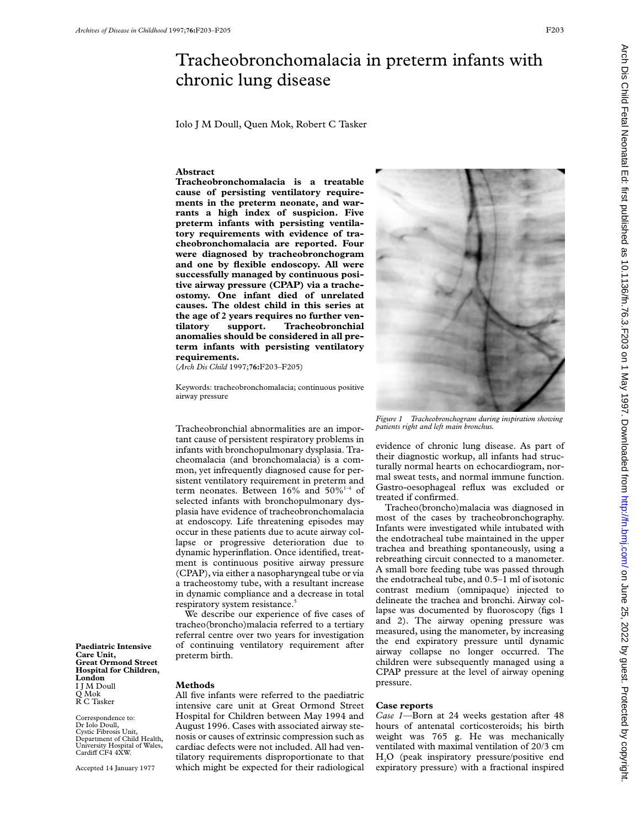## Tracheobronchomalacia in preterm infants with chronic lung disease

Iolo J M Doull, Quen Mok, Robert C Tasker

## **Abstract**

**Tracheobronchomalacia is a treatable cause of persisting ventilatory requirements in the preterm neonate, and warrants a high index of suspicion. Five preterm infants with persisting ventilatory requirements with evidence of tracheobronchomalacia are reported. Four were diagnosed by tracheobronchogram and one by flexible endoscopy. All were successfully managed by continuous positive airway pressure (CPAP) via a tracheostomy. One infant died of unrelated causes. The oldest child in this series at the age of 2 years requires no further ven-Tracheobronchial anomalies should be considered in all preterm infants with persisting ventilatory requirements.**

(*Arch Dis Child* 1997;**76:**F203–F205)

Keywords: tracheobronchomalacia; continuous positive airway pressure

Tracheobronchial abnormalities are an important cause of persistent respiratory problems in infants with bronchopulmonary dysplasia. Tracheomalacia (and bronchomalacia) is a common, yet infrequently diagnosed cause for persistent ventilatory requirement in preterm and term neonates. Between  $16\%$  and  $50\%$ <sup>1-4</sup> of selected infants with bronchopulmonary dysplasia have evidence of tracheobronchomalacia at endoscopy. Life threatening episodes may occur in these patients due to acute airway collapse or progressive deterioration due to dynamic hyperinflation. Once identified, treatment is continuous positive airway pressure (CPAP), via either a nasopharyngeal tube or via a tracheostomy tube, with a resultant increase in dynamic compliance and a decrease in total respiratory system resistance.<sup>5</sup>

We describe our experience of five cases of tracheo(broncho)malacia referred to a tertiary referral centre over two years for investigation of continuing ventilatory requirement after preterm birth.

All five infants were referred to the paediatric intensive care unit at Great Ormond Street Hospital for Children between May 1994 and August 1996. Cases with associated airway stenosis or causes of extrinsic compression such as cardiac defects were not included. All had ventilatory requirements disproportionate to that which might be expected for their radiological

**Methods**

I J M Doull Q Mok R C Tasker

**London**

**Paediatric Intensive Care Unit,**

**Great Ormond Street Hospital for Children,**

Correspondence to: Dr Iolo Doull, Cystic Fibrosis Unit, Department of Child Health, University Hospital of Wales,<br>Cardiff CF4 4XW.

Accepted 14 January 1977



*Figure 1 Tracheobronchogram during inspiration showing patients right and left main bronchus.*

evidence of chronic lung disease. As part of their diagnostic workup, all infants had structurally normal hearts on echocardiogram, normal sweat tests, and normal immune function. Gastro-oesophageal reflux was excluded or treated if confirmed.

Tracheo(broncho)malacia was diagnosed in most of the cases by tracheobronchography. Infants were investigated while intubated with the endotracheal tube maintained in the upper trachea and breathing spontaneously, using a rebreathing circuit connected to a manometer. A small bore feeding tube was passed through the endotracheal tube, and 0.5–1 ml of isotonic contrast medium (omnipaque) injected to delineate the trachea and bronchi. Airway collapse was documented by fluoroscopy (figs 1 and 2). The airway opening pressure was measured, using the manometer, by increasing the end expiratory pressure until dynamic airway collapse no longer occurred. The children were subsequently managed using a CPAP pressure at the level of airway opening pressure.

## **Case reports**

*Case 1—*Born at 24 weeks gestation after 48 hours of antenatal corticosteroids; his birth weight was 765 g. He was mechanically ventilated with maximal ventilation of 20/3 cm H2O (peak inspiratory pressure/positive end expiratory pressure) with a fractional inspired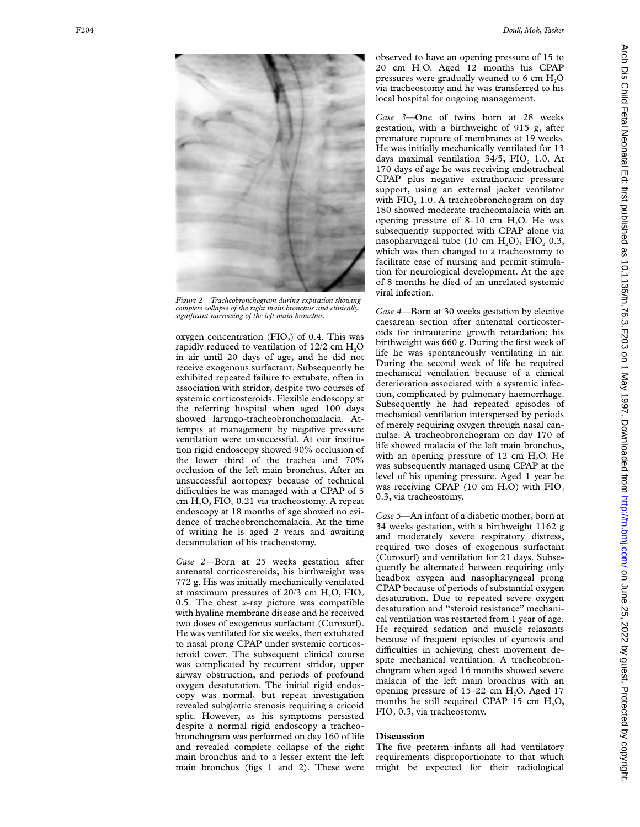

*Figure 2 Tracheobronchogram during expiration showing complete collapse of the right main bronchus and clinically significant narrowing of the left main bronchus.*

oxygen concentration  $(FIO_2)$  of 0.4. This was rapidly reduced to ventilation of 12/2 cm H 2 O in air until 20 days of age, and he did not receive exogenous surfactant. Subsequently he exhibited repeated failure to extubate, often in association with stridor, despite two courses of systemic corticosteroids. Flexible endoscopy at the referring hospital when aged 100 days showed laryngo-tracheobronchomalacia. Attempts at management by negative pressure ventilation were unsuccessful. At our institution rigid endoscopy showed 90% occlusion of the lower third of the trachea and 70% occlusion of the left main bronchus. After an unsuccessful aortopexy because of technical difficulties he was managed with a CPAP of 5 cm H 2O, FIO <sup>2</sup> 0.21 via tracheostomy. A repeat endoscopy at 18 months of age showed no evidence of tracheobronchomalacia. At the time of writing he is aged 2 years and awaiting decannulation of his tracheostomy.

*Case 2—*Born at 25 weeks gestation after antenatal corticosteroids; his birthweight was 772 g. His was initially mechanically ventilated at maximum pressures of 20/3 cm  $H_2O$ ,  $FIO_2$ 0.5. The chest *x*-ray picture was compatible with hyaline membrane disease and he received two doses of exogenous surfactant (Curosurf). He was ventilated for six weeks, then extubated to nasal prong CPAP under systemic corticosteroid cover. The subsequent clinical course was complicated by recurrent stridor, upper airway obstruction, and periods of profound oxygen desaturation. The initial rigid endoscopy was normal, but repeat investigation revealed subglottic stenosis requiring a cricoid split. However, as his symptoms persisted despite a normal rigid endoscopy a tracheobronchogram was performed on day 160 of life and revealed complete collapse of the right main bronchus and to a lesser extent the left main bronchus (figs 1 and 2). These were

observed to have an opening pressure of 15 to 20 cm H 2O. Aged 12 months his CPAP pressures were gradually weaned to 6 cm H 2 O via tracheostomy and he was transferred to his local hospital for ongoing management.

*Case 3—*One of twins born at 28 weeks gestation, with a birthweight of 915 g, after premature rupture of membranes at 19 weeks. He was initially mechanically ventilated for 13 days maximal ventilation  $34/5$ ,  $FIO<sub>2</sub> 1.0$ . At 170 days of age he was receiving endotracheal CPAP plus negative extrathoracic pressure support, using an external jacket ventilator with FIO<sub>2</sub> 1.0. A tracheobronchogram on day 180 showed moderate tracheomalacia with an opening pressure of  $8-10$  cm  $H<sub>2</sub>O$ . He was subsequently supported with CPAP alone via nasopharyngeal tube (10 cm  $H_2O$ ),  $FIO_2$  0.3, which was then changed to a tracheostomy to facilitate ease of nursing and permit stimulation for neurological development. At the age of 8 months he died of an unrelated systemic viral infection.

*Case 4—*Born at 30 weeks gestation by elective caesarean section after antenatal corticosteroids for intrauterine growth retardation; his birthweight was 660 g. During the first week of life he was spontaneously ventilating in air. During the second week of life he required mechanical ventilation because of a clinical deterioration associated with a systemic infection, complicated by pulmonary haemorrhage. Subsequently he had repeated episodes of mechanical ventilation interspersed by periods of merely requiring oxygen through nasal cannulae. A tracheobronchogram on day 170 of life showed malacia of the left main bronchus, with an opening pressure of 12 cm  $H_2O$ . He was subsequently managed using CPAP at the level of his opening pressure. Aged 1 year he was receiving CPAP (10 cm  $H_2O$ ) with  $FIO_2$ 0.3, via tracheostomy.

*Case 5—*An infant of a diabetic mother, born at 34 weeks gestation, with a birthweight 1162 g and moderately severe respiratory distress, required two doses of exogenous surfactant (Curosurf) and ventilation for 21 days. Subsequently he alternated between requiring only headbox oxygen and nasopharyngeal prong CPAP because of periods of substantial oxygen desaturation. Due to repeated severe oxygen desaturation and "steroid resistance" mechanical ventilation was restarted from 1 year of age. He required sedation and muscle relaxants because of frequent episodes of cyanosis and difficulties in achieving chest movement despite mechanical ventilation. A tracheobronchogram when aged 16 months showed severe malacia of the left main bronchus with an opening pressure of 15–22 cm H 2O. Aged 17 months he still required CPAP 15 cm H 2O, FIO <sup>2</sup> 0.3, via tracheostomy.

## **Discussion**

The five preterm infants all had ventilatory requirements disproportionate to that which might be expected for their radiological